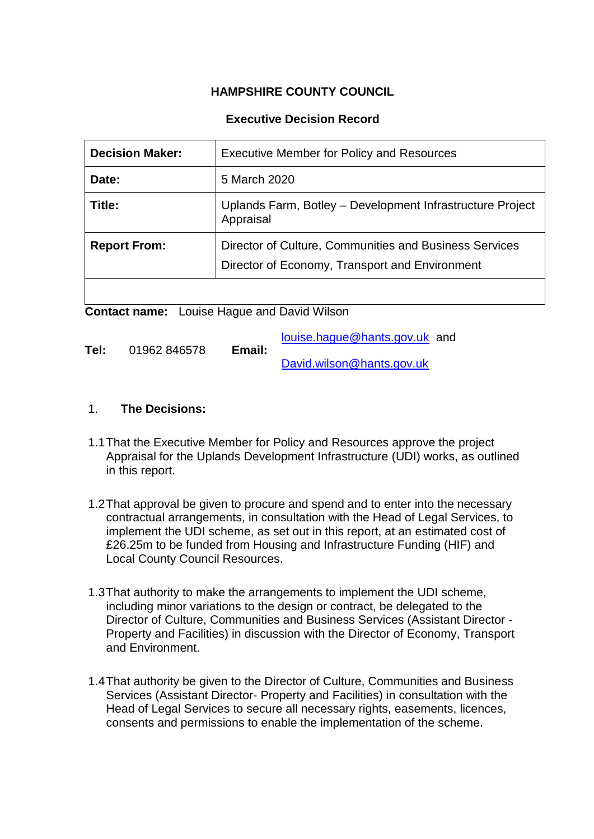# **HAMPSHIRE COUNTY COUNCIL**

## **Executive Decision Record**

| <b>Decision Maker:</b> | <b>Executive Member for Policy and Resources</b>                                                         |
|------------------------|----------------------------------------------------------------------------------------------------------|
| Date:                  | 5 March 2020                                                                                             |
| Title:                 | Uplands Farm, Botley - Development Infrastructure Project<br>Appraisal                                   |
| <b>Report From:</b>    | Director of Culture, Communities and Business Services<br>Director of Economy, Transport and Environment |

**Contact name:** Louise Hague and David Wilson

|      |              |        | louise.haque@hants.gov.uk and |  |
|------|--------------|--------|-------------------------------|--|
| Tel: | 01962 846578 | Email: |                               |  |
|      |              |        | David.wilson@hants.gov.uk     |  |

#### 1. **The Decisions:**

- 1.1That the Executive Member for Policy and Resources approve the project Appraisal for the Uplands Development Infrastructure (UDI) works, as outlined in this report.
- 1.2That approval be given to procure and spend and to enter into the necessary contractual arrangements, in consultation with the Head of Legal Services, to implement the UDI scheme, as set out in this report, at an estimated cost of £26.25m to be funded from Housing and Infrastructure Funding (HIF) and Local County Council Resources.
- 1.3That authority to make the arrangements to implement the UDI scheme, including minor variations to the design or contract, be delegated to the Director of Culture, Communities and Business Services (Assistant Director - Property and Facilities) in discussion with the Director of Economy, Transport and Environment.
- 1.4That authority be given to the Director of Culture, Communities and Business Services (Assistant Director- Property and Facilities) in consultation with the Head of Legal Services to secure all necessary rights, easements, licences, consents and permissions to enable the implementation of the scheme.